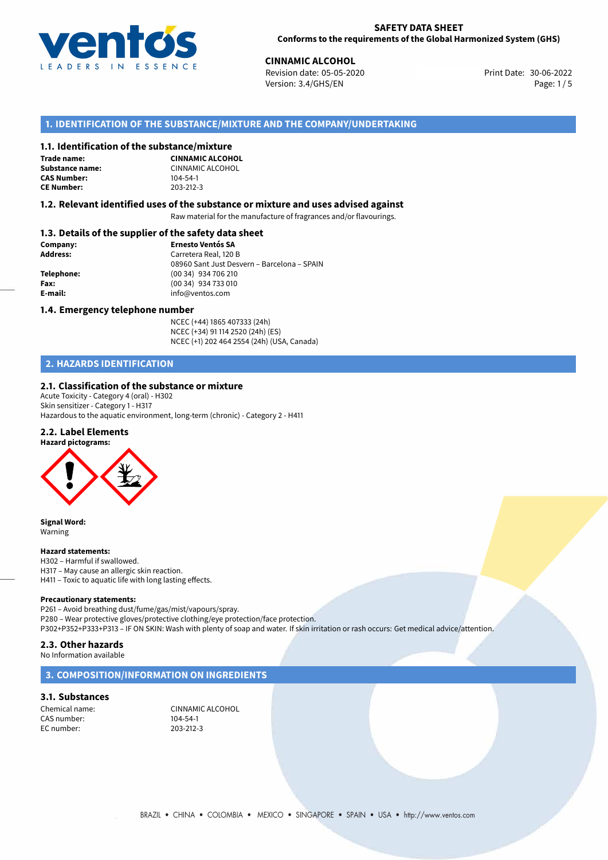

#### **SAFETY DATA SHEET Conforms to the requirements of the Global Harmonized System (GHS)**

30-06-2022 **CINNAMIC ALCOHOL** Revision date: 05-05-2020 Print Date: Version: 3.4/GHS/EN Page: 1 / 5

# **1. IDENTIFICATION OF THE SUBSTANCE/MIXTURE AND THE COMPANY/UNDERTAKING**

#### **1.1. Identification of the substance/mixture**

**Trade name: CAS Number: CE Number:** 203-212-3

**CINNAMIC ALCOHOL Substance name:** CINNAMIC ALCOHOL<br> **CAS Number:** 104-54-1

#### **1.2. Relevant identified uses of the substance or mixture and uses advised against**

Raw material for the manufacture of fragrances and/or flavourings.

# **1.3. Details of the supplier of the safety data sheet**

| Company:        | <b>Ernesto Ventós SA</b>                    |
|-----------------|---------------------------------------------|
| <b>Address:</b> | Carretera Real, 120 B                       |
|                 | 08960 Sant Just Desvern - Barcelona - SPAIN |
| Telephone:      | (00 34) 934 706 210                         |
| Fax:            | (00 34) 934 733 010                         |
| E-mail:         | info@ventos.com                             |
|                 |                                             |

#### **1.4. Emergency telephone number**

NCEC (+44) 1865 407333 (24h) NCEC (+34) 91 114 2520 (24h) (ES) NCEC (+1) 202 464 2554 (24h) (USA, Canada)

# **2. HAZARDS IDENTIFICATION**

#### **2.1. Classification of the substance or mixture**

Acute Toxicity - Category 4 (oral) - H302 Skin sensitizer - Category 1 - H317 Hazardous to the aquatic environment, long-term (chronic) - Category 2 - H411

# **2.2. Label Elements**

**Hazard pictograms:**



**Signal Word:** Warning

#### **Hazard statements:**

H302 – Harmful if swallowed. H317 – May cause an allergic skin reaction. H411 – Toxic to aquatic life with long lasting effects.

#### **Precautionary statements:**

P261 – Avoid breathing dust/fume/gas/mist/vapours/spray. P280 – Wear protective gloves/protective clothing/eye protection/face protection. P302+P352+P333+P313 – IF ON SKIN: Wash with plenty of soap and water. If skin irritation or rash occurs: Get medical advice/attention.

#### **2.3. Other hazards**

No Information available

# **3. COMPOSITION/INFORMATION ON INGREDIENTS**

# **3.1. Substances**

CAS number: EC number: 203-212-3

Chemical name: CINNAMIC ALCOHOL<br>
CAS number: 104-54-1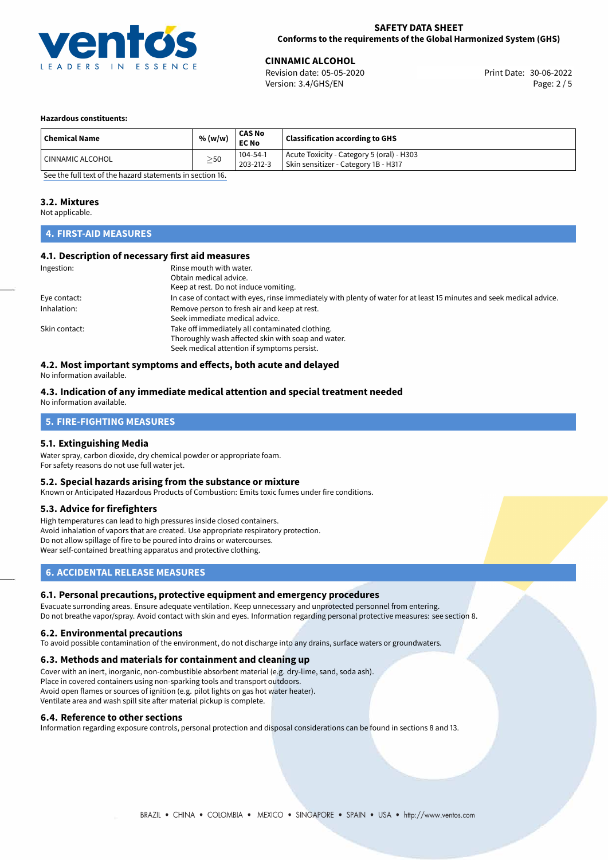

**CINNAMIC ALCOHOL**<br>
Revision date: 05-05-2020 **Print Date: 30-06-2022** Version: 3.4/GHS/EN Page: 2 / 5

#### **Hazardous constituents:**

| <b>Chemical Name</b>          | % (w/w)   | <b>CAS No</b><br><b>EC No</b> | <b>Classification according to GHS</b>                                            |
|-------------------------------|-----------|-------------------------------|-----------------------------------------------------------------------------------|
| <sup>1</sup> CINNAMIC ALCOHOL | $\geq$ 50 | 104-54-1<br>203-212-3         | Acute Toxicity - Category 5 (oral) - H303<br>Skin sensitizer - Category 1B - H317 |

[See the full text of the hazard statements in section 16.](#page-4-0)

# **3.2. Mixtures**

Not applicable.

# **4. FIRST-AID MEASURES**

#### **4.1. Description of necessary first aid measures**

| Ingestion:    | Rinse mouth with water.<br>Obtain medical advice.<br>Keep at rest. Do not induce vomiting.                                                           |
|---------------|------------------------------------------------------------------------------------------------------------------------------------------------------|
| Eye contact:  | In case of contact with eyes, rinse immediately with plenty of water for at least 15 minutes and seek medical advice.                                |
| Inhalation:   | Remove person to fresh air and keep at rest.<br>Seek immediate medical advice.                                                                       |
| Skin contact: | Take off immediately all contaminated clothing.<br>Thoroughly wash affected skin with soap and water.<br>Seek medical attention if symptoms persist. |

# **4.2. Most important symptoms and effects, both acute and delayed**

No information available.

#### **4.3. Indication of any immediate medical attention and special treatment needed** No information available.

# **5. FIRE-FIGHTING MEASURES**

# **5.1. Extinguishing Media**

Water spray, carbon dioxide, dry chemical powder or appropriate foam. For safety reasons do not use full water jet.

#### **5.2. Special hazards arising from the substance or mixture**

Known or Anticipated Hazardous Products of Combustion: Emits toxic fumes under fire conditions.

# **5.3. Advice for firefighters**

High temperatures can lead to high pressures inside closed containers. Avoid inhalation of vapors that are created. Use appropriate respiratory protection. Do not allow spillage of fire to be poured into drains or watercourses. Wear self-contained breathing apparatus and protective clothing.

# **6. ACCIDENTAL RELEASE MEASURES**

# **6.1. Personal precautions, protective equipment and emergency procedures**

Evacuate surronding areas. Ensure adequate ventilation. Keep unnecessary and unprotected personnel from entering. Do not breathe vapor/spray. Avoid contact with skin and eyes. Information regarding personal protective measures: see section 8.

# **6.2. Environmental precautions**

To avoid possible contamination of the environment, do not discharge into any drains, surface waters or groundwaters.

#### **6.3. Methods and materials for containment and cleaning up**

Cover with an inert, inorganic, non-combustible absorbent material (e.g. dry-lime, sand, soda ash). Place in covered containers using non-sparking tools and transport outdoors. Avoid open flames or sources of ignition (e.g. pilot lights on gas hot water heater). Ventilate area and wash spill site after material pickup is complete.

#### **6.4. Reference to other sections**

Information regarding exposure controls, personal protection and disposal considerations can be found in sections 8 and 13.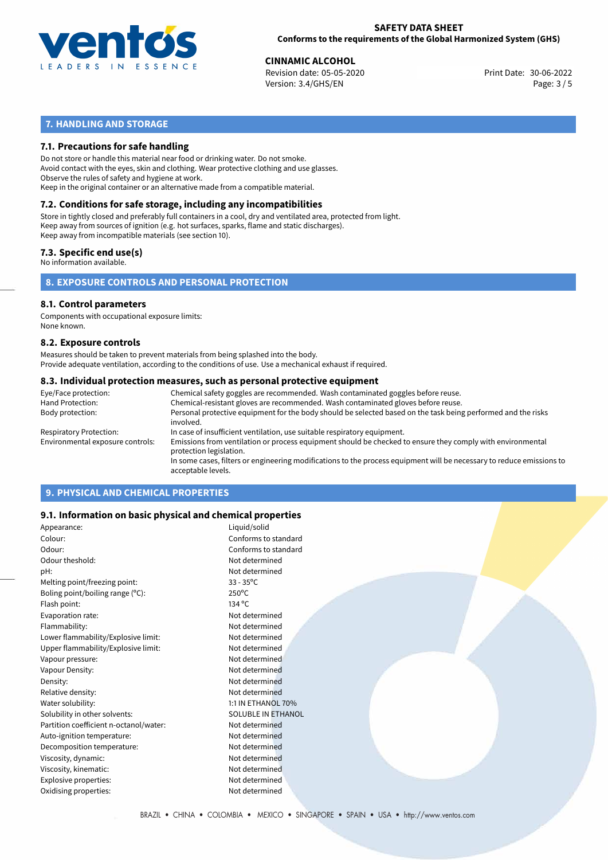

# **SAFETY DATA SHEET Conforms to the requirements of the Global Harmonized System (GHS)**

**CINNAMIC ALCOHOL**<br>
Revision date: 05-05-2020 **Print Date: 30-06-2022** Version: 3.4/GHS/EN Page: 3 / 5

# **7. HANDLING AND STORAGE**

# **7.1. Precautions for safe handling**

Do not store or handle this material near food or drinking water. Do not smoke. Avoid contact with the eyes, skin and clothing. Wear protective clothing and use glasses. Observe the rules of safety and hygiene at work. Keep in the original container or an alternative made from a compatible material.

# **7.2. Conditions for safe storage, including any incompatibilities**

Store in tightly closed and preferably full containers in a cool, dry and ventilated area, protected from light. Keep away from sources of ignition (e.g. hot surfaces, sparks, flame and static discharges). Keep away from incompatible materials (see section 10).

## **7.3. Specific end use(s)**

No information available.

# **8. EXPOSURE CONTROLS AND PERSONAL PROTECTION**

# **8.1. Control parameters**

Components with occupational exposure limits: None known.

#### **8.2. Exposure controls**

Measures should be taken to prevent materials from being splashed into the body. Provide adequate ventilation, according to the conditions of use. Use a mechanical exhaust if required.

#### **8.3. Individual protection measures, such as personal protective equipment**

| Eye/Face protection:             | Chemical safety goggles are recommended. Wash contaminated goggles before reuse.                                                            |
|----------------------------------|---------------------------------------------------------------------------------------------------------------------------------------------|
| Hand Protection:                 | Chemical-resistant gloves are recommended. Wash contaminated gloves before reuse.                                                           |
| Body protection:                 | Personal protective equipment for the body should be selected based on the task being performed and the risks<br>involved.                  |
| Respiratory Protection:          | In case of insufficient ventilation, use suitable respiratory equipment.                                                                    |
| Environmental exposure controls: | Emissions from ventilation or process equipment should be checked to ensure they comply with environmental<br>protection legislation.       |
|                                  | In some cases, filters or engineering modifications to the process equipment will be necessary to reduce emissions to<br>acceptable levels. |
|                                  |                                                                                                                                             |

# **9. PHYSICAL AND CHEMICAL PROPERTIES**

# **9.1. Information on basic physical and chemical properties**

| Appearance:                            | Liquid/solid              |
|----------------------------------------|---------------------------|
| Colour:                                | Conforms to standard      |
| Odour:                                 | Conforms to standard      |
| Odour theshold:                        | Not determined            |
| pH:                                    | Not determined            |
| Melting point/freezing point:          | $33 - 35^{\circ}$ C       |
| Boling point/boiling range (°C):       | $250^{\circ}$ C           |
| Flash point:                           | 134 °C                    |
| Evaporation rate:                      | Not determined            |
| Flammability:                          | Not determined            |
| Lower flammability/Explosive limit:    | Not determined            |
| Upper flammability/Explosive limit:    | Not determined            |
| Vapour pressure:                       | Not determined            |
| Vapour Density:                        | Not determined            |
| Density:                               | Not determined            |
| Relative density:                      | Not determined            |
| Water solubility:                      | 1:1 IN ETHANOL 70%        |
| Solubility in other solvents:          | <b>SOLUBLE IN ETHANOL</b> |
| Partition coefficient n-octanol/water: | Not determined            |
| Auto-ignition temperature:             | Not determined            |
| Decomposition temperature:             | Not determined            |
| Viscosity, dynamic:                    | Not determined            |
| Viscosity, kinematic:                  | Not determined            |
| Explosive properties:                  | Not determined            |
| Oxidising properties:                  | Not determined            |
|                                        |                           |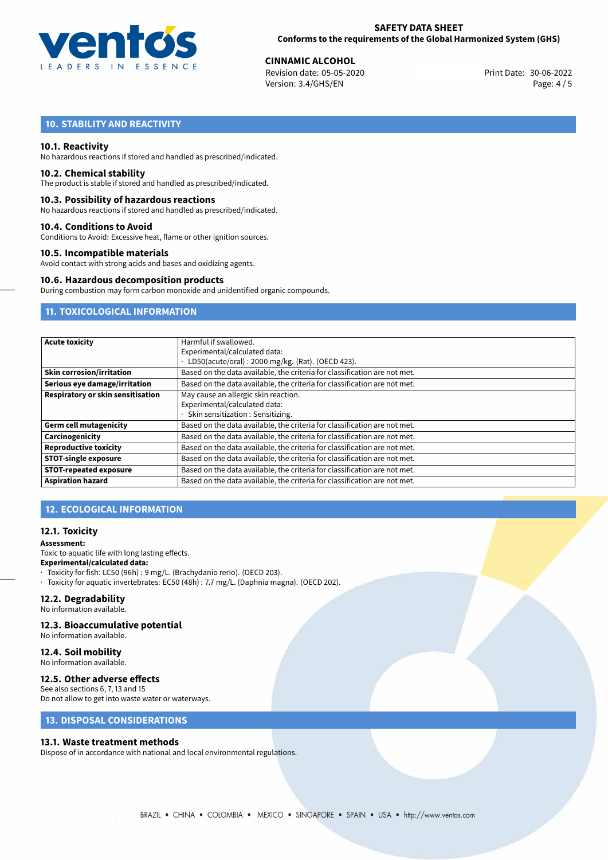

**CINNAMIC ALCOHOL**<br>
Revision date: 05-05-2020 **Print Date: 30-06-2022** Version: 3.4/GHS/EN Page: 4 / 5

# **10. STABILITY AND REACTIVITY**

#### **10.1. Reactivity**

No hazardous reactions if stored and handled as prescribed/indicated.

#### **10.2. Chemical stability**

The product is stable if stored and handled as prescribed/indicated.

#### **10.3. Possibility of hazardous reactions**

No hazardous reactions if stored and handled as prescribed/indicated.

#### **10.4. Conditions to Avoid**

Conditions to Avoid: Excessive heat, flame or other ignition sources.

#### **10.5. Incompatible materials**

Avoid contact with strong acids and bases and oxidizing agents.

#### **10.6. Hazardous decomposition products**

During combustion may form carbon monoxide and unidentified organic compounds.

# **11. TOXICOLOGICAL INFORMATION**

| <b>Acute toxicity</b>             | Harmful if swallowed.                                                     |  |  |
|-----------------------------------|---------------------------------------------------------------------------|--|--|
|                                   | Experimental/calculated data:                                             |  |  |
|                                   | LD50(acute/oral): 2000 mg/kg. (Rat). (OECD 423).                          |  |  |
| <b>Skin corrosion/irritation</b>  | Based on the data available, the criteria for classification are not met. |  |  |
| Serious eye damage/irritation     | Based on the data available, the criteria for classification are not met. |  |  |
| Respiratory or skin sensitisation | May cause an allergic skin reaction.                                      |  |  |
|                                   | Experimental/calculated data:                                             |  |  |
|                                   | Skin sensitization: Sensitizing.                                          |  |  |
| <b>Germ cell mutagenicity</b>     | Based on the data available, the criteria for classification are not met. |  |  |
| Carcinogenicity                   | Based on the data available, the criteria for classification are not met. |  |  |
| <b>Reproductive toxicity</b>      | Based on the data available, the criteria for classification are not met. |  |  |
| <b>STOT-single exposure</b>       | Based on the data available, the criteria for classification are not met. |  |  |
| <b>STOT-repeated exposure</b>     | Based on the data available, the criteria for classification are not met. |  |  |
| <b>Aspiration hazard</b>          | Based on the data available, the criteria for classification are not met. |  |  |

# **12. ECOLOGICAL INFORMATION**

#### **12.1. Toxicity**

#### **Assessment:**

Toxic to aquatic life with long lasting effects. **Experimental/calculated data:** · Toxicity for fish: LC50 (96h) : 9 mg/L. (Brachydanio rerio). (OECD 203).

· Toxicity for aquatic invertebrates: EC50 (48h) : 7.7 mg/L. (Daphnia magna). (OECD 202).

# **12.2. Degradability**

No information available.

#### **12.3. Bioaccumulative potential**

No information available.

#### **12.4. Soil mobility**

No information available.

# **12.5. Other adverse effects**

See also sections 6, 7, 13 and 15 Do not allow to get into waste water or waterways.

# **13. DISPOSAL CONSIDERATIONS**

#### **13.1. Waste treatment methods**

Dispose of in accordance with national and local environmental regulations.